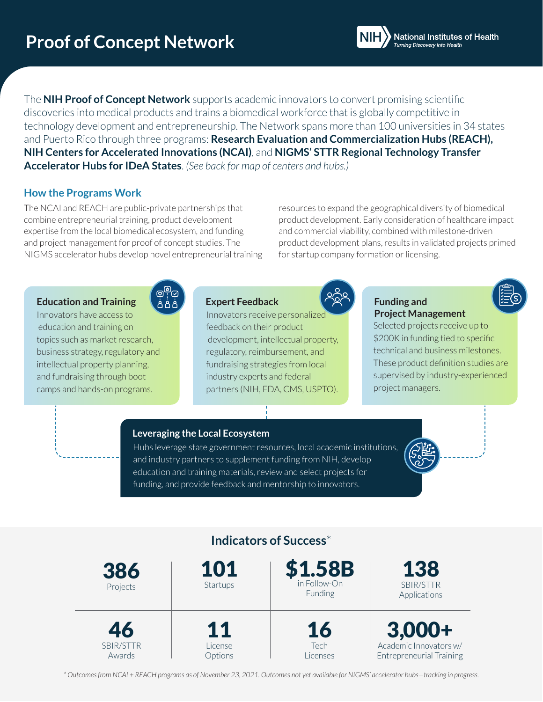The **NIH Proof of Concept Network** supports academic innovators to convert promising scientific discoveries into medical products and trains a biomedical workforce that is globally competitive in technology development and entrepreneurship. The Network spans more than 100 universities in 34 states and Puerto Rico through three programs: **Research Evaluation and Commercialization Hubs (REACH), NIH Centers for Accelerated Innovations (NCAI)**, and **NIGMS' STTR Regional Technology Transfer Accelerator Hubs for IDeA States**. *(See back for map of centers and hubs.)*

### **How the Programs Work**

The NCAI and REACH are public-private partnerships that combine entrepreneurial training, product development expertise from the local biomedical ecosystem, and funding and project management for proof of concept studies. The NIGMS accelerator hubs develop novel entrepreneurial training resources to expand the geographical diversity of biomedical product development. Early consideration of healthcare impact and commercial viability, combined with milestone-driven product development plans, results in validated projects primed for startup company formation or licensing.

### **Education and Training**

Innovators have access to education and training on topics such as market research, business strategy, regulatory and intellectual property planning, and fundraising through boot camps and hands-on programs.

### **Expert Feedback**

Innovators receive personalized feedback on their product development, intellectual property, regulatory, reimbursement, and fundraising strategies from local industry experts and federal partners (NIH, FDA, CMS, USPTO).



### **Funding and Project Management**

Selected projects receive up to \$200K in funding tied to specific technical and business milestones. These product definition studies are supervised by industry-experienced project managers.

**National Institutes of Health** 

**\$**

#### **Leveraging the Local Ecosystem**

Hubs leverage state government resources, local academic institutions, and industry partners to supplement funding from NIH, develop education and training materials, review and select projects for funding, and provide feedback and mentorship to innovators.



*\* Outcomes from NCAI + REACH programs as of November 23, 2021. Outcomes not yet available for NIGMS' accelerator hubs—tracking in progress.*